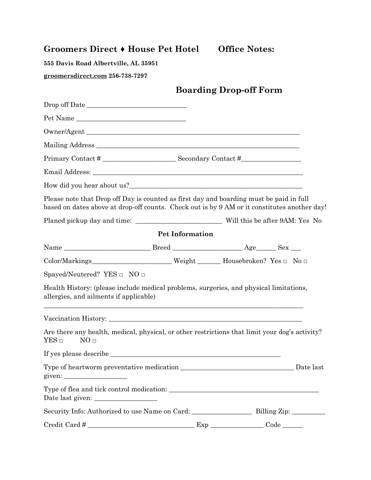## **Groomers Direct ♦ House Pet Hotel Office Notes:**

**555 Davis Road Albertville, AL 35951** 

**groomersdirect.com 256-738-7297**

## **Boarding Drop-off Form**

| Pet Name                                                                                                                                                                                |                        |           |
|-----------------------------------------------------------------------------------------------------------------------------------------------------------------------------------------|------------------------|-----------|
|                                                                                                                                                                                         |                        |           |
|                                                                                                                                                                                         |                        |           |
|                                                                                                                                                                                         |                        |           |
|                                                                                                                                                                                         |                        |           |
|                                                                                                                                                                                         |                        |           |
| Please note that Drop off Day is counted as first day and boarding must be paid in full<br>based on dates above at drop-off counts. Check out is by 9 AM or it constitutes another day! |                        |           |
|                                                                                                                                                                                         |                        |           |
|                                                                                                                                                                                         | <b>Pet Information</b> |           |
|                                                                                                                                                                                         |                        |           |
| Color/Markings_______________________Weight _______Housebroken? Yes □ No □                                                                                                              |                        |           |
| Spayed/Neutered? YES $\Box$ NO $\Box$                                                                                                                                                   |                        |           |
| Health History: (please include medical problems, surgeries, and physical limitations,<br>allergies, and ailments if applicable)                                                        |                        |           |
|                                                                                                                                                                                         |                        |           |
| Are there any health, medical, physical, or other restrictions that limit your dog's activity?<br>$YES \Box$<br>NO <sub>□</sub>                                                         |                        |           |
|                                                                                                                                                                                         |                        |           |
| given: $\frac{\sqrt{2}}{2}$                                                                                                                                                             |                        | Date last |
| Date last given:                                                                                                                                                                        |                        |           |
|                                                                                                                                                                                         |                        |           |
|                                                                                                                                                                                         |                        |           |